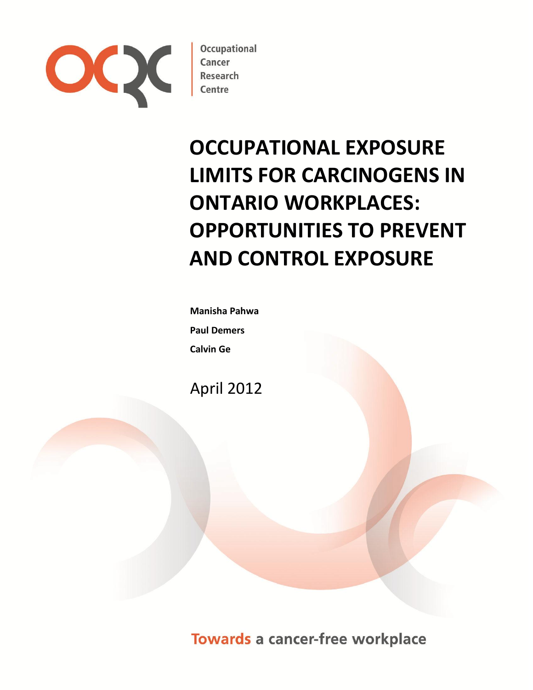

**Occupational** 

# **OCCUPATIONAL EXPOSURE LIMITS FOR CARCINOGENS IN ONTARIO WORKPLACES: OPPORTUNITIES TO PREVENT AND CONTROL EXPOSURE**

**Manisha Pahwa Paul Demers Calvin Ge**

April 2012

**Towards a cancer-free workplace**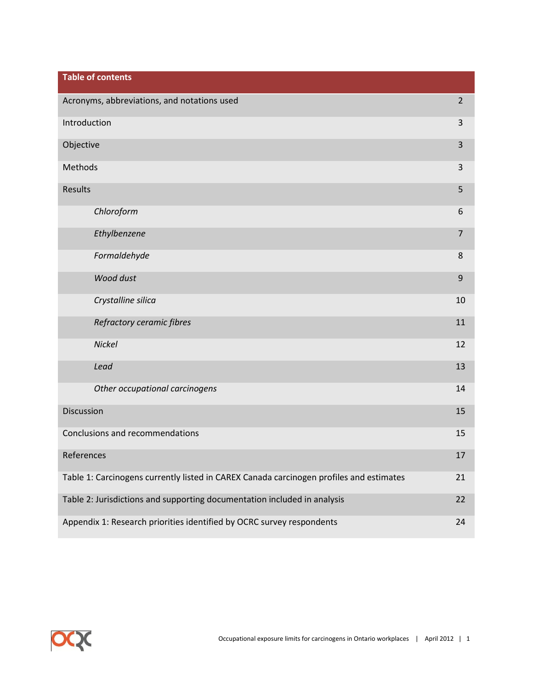| <b>Table of contents</b>                                                                |                |
|-----------------------------------------------------------------------------------------|----------------|
| Acronyms, abbreviations, and notations used                                             | $\overline{2}$ |
| Introduction                                                                            | $\mathbf{3}$   |
| Objective                                                                               | 3              |
| Methods                                                                                 | 3              |
| Results                                                                                 | 5              |
| Chloroform                                                                              | 6              |
| Ethylbenzene                                                                            | $\overline{7}$ |
| Formaldehyde                                                                            | 8              |
| Wood dust                                                                               | 9              |
| Crystalline silica                                                                      | 10             |
| Refractory ceramic fibres                                                               | 11             |
| Nickel                                                                                  | 12             |
| Lead                                                                                    | 13             |
| Other occupational carcinogens                                                          | 14             |
| <b>Discussion</b>                                                                       | 15             |
| Conclusions and recommendations                                                         | 15             |
| References                                                                              | 17             |
| Table 1: Carcinogens currently listed in CAREX Canada carcinogen profiles and estimates | 21             |
| Table 2: Jurisdictions and supporting documentation included in analysis                | 22             |
| Appendix 1: Research priorities identified by OCRC survey respondents                   | 24             |

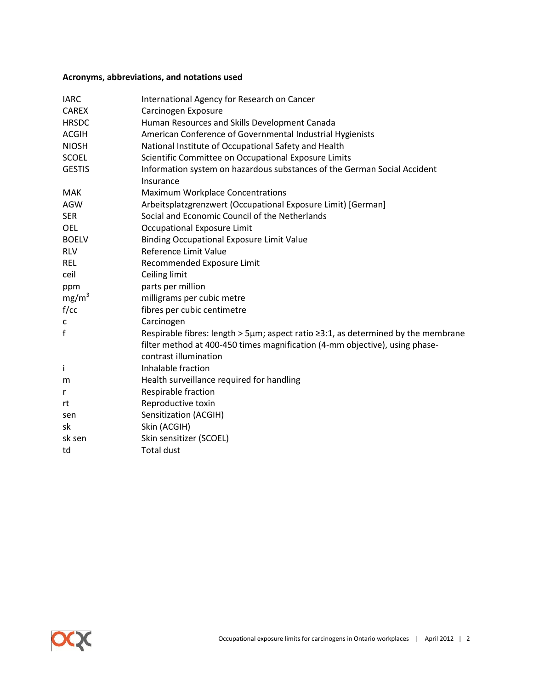# **Acronyms, abbreviations, and notations used**

| <b>IARC</b>       | International Agency for Research on Cancer                                                          |
|-------------------|------------------------------------------------------------------------------------------------------|
| <b>CAREX</b>      | Carcinogen Exposure                                                                                  |
| <b>HRSDC</b>      | Human Resources and Skills Development Canada                                                        |
| <b>ACGIH</b>      | American Conference of Governmental Industrial Hygienists                                            |
| <b>NIOSH</b>      | National Institute of Occupational Safety and Health                                                 |
| <b>SCOEL</b>      | Scientific Committee on Occupational Exposure Limits                                                 |
| <b>GESTIS</b>     | Information system on hazardous substances of the German Social Accident<br>Insurance                |
| <b>MAK</b>        | Maximum Workplace Concentrations                                                                     |
| AGW               | Arbeitsplatzgrenzwert (Occupational Exposure Limit) [German]                                         |
| <b>SER</b>        | Social and Economic Council of the Netherlands                                                       |
| OEL               | <b>Occupational Exposure Limit</b>                                                                   |
| <b>BOELV</b>      | <b>Binding Occupational Exposure Limit Value</b>                                                     |
| <b>RLV</b>        | Reference Limit Value                                                                                |
| <b>REL</b>        | Recommended Exposure Limit                                                                           |
| ceil              | Ceiling limit                                                                                        |
| ppm               | parts per million                                                                                    |
| mg/m <sup>3</sup> | milligrams per cubic metre                                                                           |
| f/cc              | fibres per cubic centimetre                                                                          |
| c                 | Carcinogen                                                                                           |
| $\mathsf f$       | Respirable fibres: length > 5µm; aspect ratio $\geq$ 3:1, as determined by the membrane              |
|                   | filter method at 400-450 times magnification (4-mm objective), using phase-<br>contrast illumination |
| İ.                | Inhalable fraction                                                                                   |
| m                 | Health surveillance required for handling                                                            |
| r                 | Respirable fraction                                                                                  |
| rt                | Reproductive toxin                                                                                   |
| sen               | Sensitization (ACGIH)                                                                                |
| sk                | Skin (ACGIH)                                                                                         |
| sk sen            | Skin sensitizer (SCOEL)                                                                              |
| td                | <b>Total dust</b>                                                                                    |
|                   |                                                                                                      |

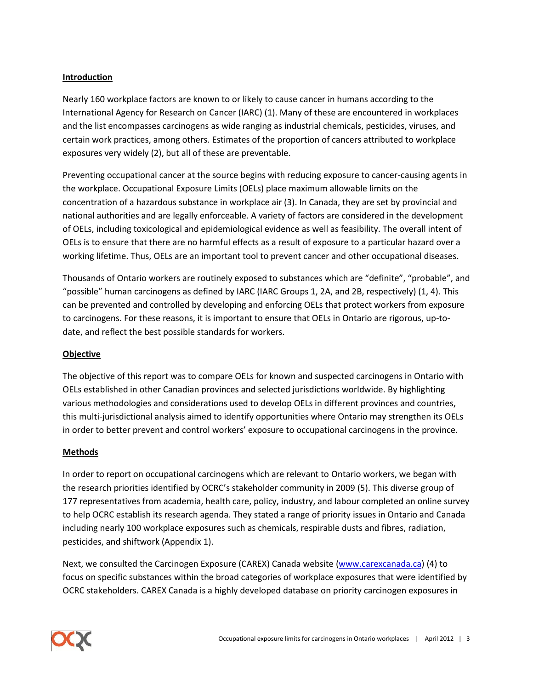# **Introduction**

Nearly 160 workplace factors are known to or likely to cause cancer in humans according to the International Agency for Research on Cancer (IARC) (1). Many of these are encountered in workplaces and the list encompasses carcinogens as wide ranging as industrial chemicals, pesticides, viruses, and certain work practices, among others. Estimates of the proportion of cancers attributed to workplace exposures very widely (2), but all of these are preventable.

Preventing occupational cancer at the source begins with reducing exposure to cancer-causing agents in the workplace. Occupational Exposure Limits (OELs) place maximum allowable limits on the concentration of a hazardous substance in workplace air (3). In Canada, they are set by provincial and national authorities and are legally enforceable. A variety of factors are considered in the development of OELs, including toxicological and epidemiological evidence as well as feasibility. The overall intent of OELs is to ensure that there are no harmful effects as a result of exposure to a particular hazard over a working lifetime. Thus, OELs are an important tool to prevent cancer and other occupational diseases.

Thousands of Ontario workers are routinely exposed to substances which are "definite", "probable", and "possible" human carcinogens as defined by IARC (IARC Groups 1, 2A, and 2B, respectively) (1, 4). This can be prevented and controlled by developing and enforcing OELs that protect workers from exposure to carcinogens. For these reasons, it is important to ensure that OELs in Ontario are rigorous, up-todate, and reflect the best possible standards for workers.

## **Objective**

The objective of this report was to compare OELs for known and suspected carcinogens in Ontario with OELs established in other Canadian provinces and selected jurisdictions worldwide. By highlighting various methodologies and considerations used to develop OELs in different provinces and countries, this multi-jurisdictional analysis aimed to identify opportunities where Ontario may strengthen its OELs in order to better prevent and control workers' exposure to occupational carcinogens in the province.

## **Methods**

In order to report on occupational carcinogens which are relevant to Ontario workers, we began with the research priorities identified by OCRC's stakeholder community in 2009 (5). This diverse group of 177 representatives from academia, health care, policy, industry, and labour completed an online survey to help OCRC establish its research agenda. They stated a range of priority issues in Ontario and Canada including nearly 100 workplace exposures such as chemicals, respirable dusts and fibres, radiation, pesticides, and shiftwork (Appendix 1).

Next, we consulted the Carcinogen Exposure (CAREX) Canada website [\(www.carexcanada.ca\)](http://www.carexcanada.ca/) (4) to focus on specific substances within the broad categories of workplace exposures that were identified by OCRC stakeholders. CAREX Canada is a highly developed database on priority carcinogen exposures in

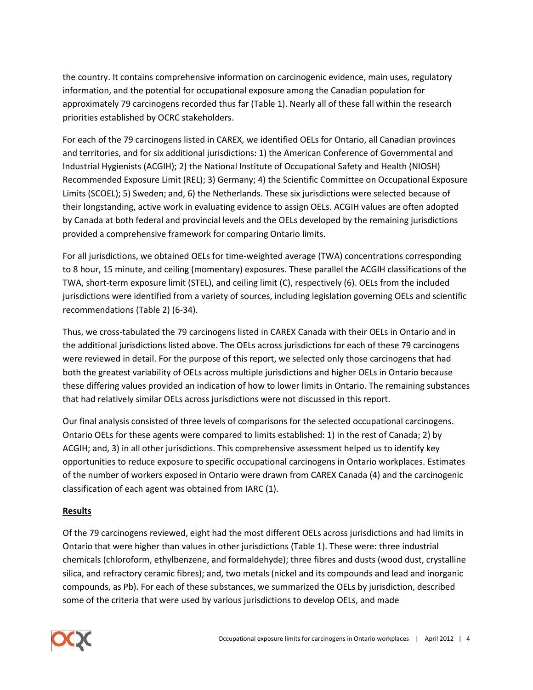the country. It contains comprehensive information on carcinogenic evidence, main uses, regulatory information, and the potential for occupational exposure among the Canadian population for approximately 79 carcinogens recorded thus far (Table 1). Nearly all of these fall within the research priorities established by OCRC stakeholders.

For each of the 79 carcinogens listed in CAREX, we identified OELs for Ontario, all Canadian provinces and territories, and for six additional jurisdictions: 1) the American Conference of Governmental and Industrial Hygienists (ACGIH); 2) the National Institute of Occupational Safety and Health (NIOSH) Recommended Exposure Limit (REL); 3) Germany; 4) the Scientific Committee on Occupational Exposure Limits (SCOEL); 5) Sweden; and, 6) the Netherlands. These six jurisdictions were selected because of their longstanding, active work in evaluating evidence to assign OELs. ACGIH values are often adopted by Canada at both federal and provincial levels and the OELs developed by the remaining jurisdictions provided a comprehensive framework for comparing Ontario limits.

For all jurisdictions, we obtained OELs for time-weighted average (TWA) concentrations corresponding to 8 hour, 15 minute, and ceiling (momentary) exposures. These parallel the ACGIH classifications of the TWA, short-term exposure limit (STEL), and ceiling limit (C), respectively (6). OELs from the included jurisdictions were identified from a variety of sources, including legislation governing OELs and scientific recommendations (Table 2) (6-34).

Thus, we cross-tabulated the 79 carcinogens listed in CAREX Canada with their OELs in Ontario and in the additional jurisdictions listed above. The OELs across jurisdictions for each of these 79 carcinogens were reviewed in detail. For the purpose of this report, we selected only those carcinogens that had both the greatest variability of OELs across multiple jurisdictions and higher OELs in Ontario because these differing values provided an indication of how to lower limits in Ontario. The remaining substances that had relatively similar OELs across jurisdictions were not discussed in this report.

Our final analysis consisted of three levels of comparisons for the selected occupational carcinogens. Ontario OELs for these agents were compared to limits established: 1) in the rest of Canada; 2) by ACGIH; and, 3) in all other jurisdictions. This comprehensive assessment helped us to identify key opportunities to reduce exposure to specific occupational carcinogens in Ontario workplaces. Estimates of the number of workers exposed in Ontario were drawn from CAREX Canada (4) and the carcinogenic classification of each agent was obtained from IARC (1).

# **Results**

Of the 79 carcinogens reviewed, eight had the most different OELs across jurisdictions and had limits in Ontario that were higher than values in other jurisdictions (Table 1). These were: three industrial chemicals (chloroform, ethylbenzene, and formaldehyde); three fibres and dusts (wood dust, crystalline silica, and refractory ceramic fibres); and, two metals (nickel and its compounds and lead and inorganic compounds, as Pb). For each of these substances, we summarized the OELs by jurisdiction, described some of the criteria that were used by various jurisdictions to develop OELs, and made

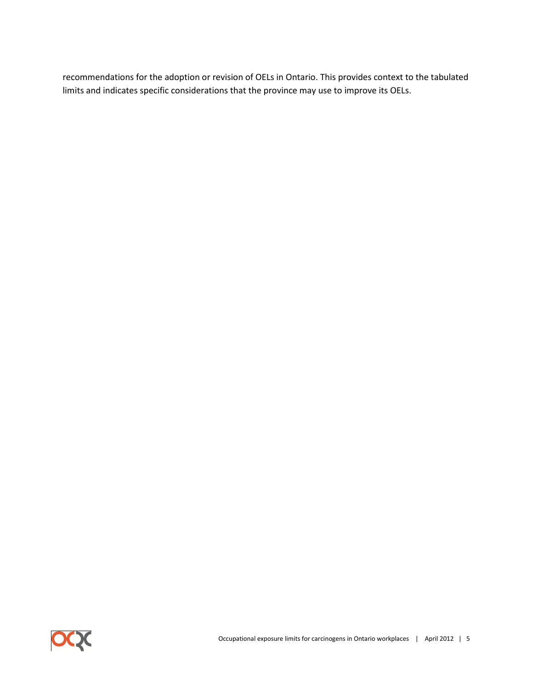recommendations for the adoption or revision of OELs in Ontario. This provides context to the tabulated limits and indicates specific considerations that the province may use to improve its OELs.

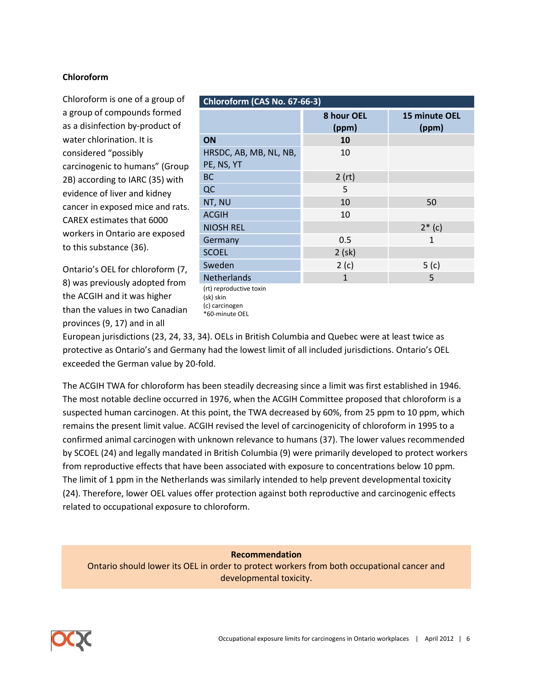# **Chloroform**

Chloroform is one of a group of a group of compounds formed as a disinfection by-product of water chlorination. It is considered "possibly carcinogenic to humans" (Group 2B) according to IARC (35) with evidence of liver and kidney cancer in exposed mice and rats. CAREX estimates that 6000 workers in Ontario are exposed to this substance (36).

Ontario's OEL for chloroform (7, 8) was previously adopted from the ACGIH and it was higher than the values in two Canadian provinces (9, 17) and in all

| Chloroform (CAS No. 67-66-3)         |                     |                        |
|--------------------------------------|---------------------|------------------------|
|                                      | 8 hour OEL<br>(ppm) | 15 minute OEL<br>(ppm) |
| ON                                   | 10                  |                        |
| HRSDC, AB, MB, NL, NB,<br>PE, NS, YT | 10                  |                        |
| <b>BC</b>                            | 2 (rt)              |                        |
| QC                                   | 5                   |                        |
| NT, NU                               | 10                  | 50                     |
| <b>ACGIH</b>                         | 10                  |                        |
| <b>NIOSH REL</b>                     |                     | $2*(c)$                |
| Germany                              | 0.5                 | 1                      |
| <b>SCOEL</b>                         | 2 (sk)              |                        |
| Sweden                               | 2(c)                | 5 <sub>(c)</sub>       |
| <b>Netherlands</b>                   | 1                   | 5                      |
| (rt) reproductive toxin<br>(sk) skin |                     |                        |

(sk) skin (c) carcinogen \*60-minute OEL

European jurisdictions (23, 24, 33, 34). OELs in British Columbia and Quebec were at least twice as protective as Ontario's and Germany had the lowest limit of all included jurisdictions. Ontario's OEL exceeded the German value by 20-fold.

The ACGIH TWA for chloroform has been steadily decreasing since a limit was first established in 1946. The most notable decline occurred in 1976, when the ACGIH Committee proposed that chloroform is a suspected human carcinogen. At this point, the TWA decreased by 60%, from 25 ppm to 10 ppm, which remains the present limit value. ACGIH revised the level of carcinogenicity of chloroform in 1995 to a confirmed animal carcinogen with unknown relevance to humans (37). The lower values recommended by SCOEL (24) and legally mandated in British Columbia (9) were primarily developed to protect workers from reproductive effects that have been associated with exposure to concentrations below 10 ppm. The limit of 1 ppm in the Netherlands was similarly intended to help prevent developmental toxicity (24). Therefore, lower OEL values offer protection against both reproductive and carcinogenic effects related to occupational exposure to chloroform.

**Recommendation**

Ontario should lower its OEL in order to protect workers from both occupational cancer and developmental toxicity.

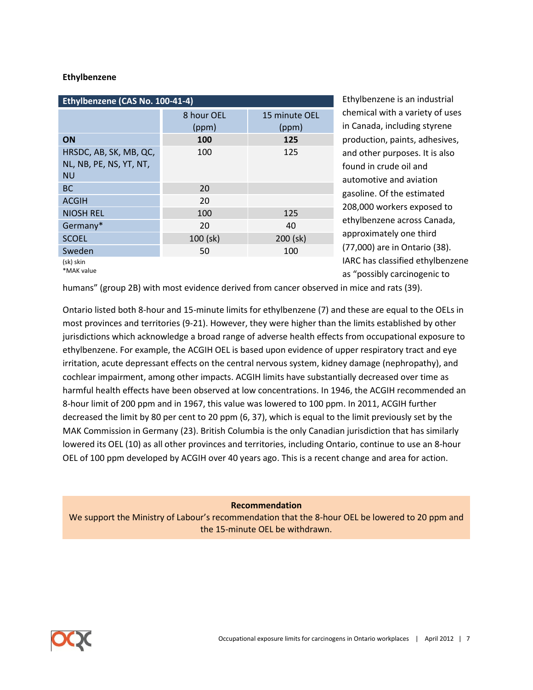#### **Ethylbenzene**

| Ethylbenzene (CAS No. 100-41-4)                                |                     |                        |
|----------------------------------------------------------------|---------------------|------------------------|
|                                                                | 8 hour OEL<br>(ppm) | 15 minute OEL<br>(ppm) |
| ON                                                             | 100                 | 125                    |
| HRSDC, AB, SK, MB, QC,<br>NL, NB, PE, NS, YT, NT,<br><b>NU</b> | 100                 | 125                    |
| <b>BC</b>                                                      | 20                  |                        |
| <b>ACGIH</b>                                                   | 20                  |                        |
| <b>NIOSH REL</b>                                               | 100                 | 125                    |
| Germany*                                                       | 20                  | 40                     |
| <b>SCOEL</b>                                                   | 100 (sk)            | 200 (sk)               |
| Sweden                                                         | 50                  | 100                    |
| (sk) skin<br>*MAK value                                        |                     |                        |

Ethylbenzene is an industrial chemical with a variety of uses in Canada, including styrene production, paints, adhesives, and other purposes. It is also found in crude oil and automotive and aviation gasoline. Of the estimated 208,000 workers exposed to ethylbenzene across Canada, approximately one third (77,000) are in Ontario (38). IARC has classified ethylbenzene as "possibly carcinogenic to

humans" (group 2B) with most evidence derived from cancer observed in mice and rats (39).

Ontario listed both 8-hour and 15-minute limits for ethylbenzene (7) and these are equal to the OELs in most provinces and territories (9-21). However, they were higher than the limits established by other jurisdictions which acknowledge a broad range of adverse health effects from occupational exposure to ethylbenzene. For example, the ACGIH OEL is based upon evidence of upper respiratory tract and eye irritation, acute depressant effects on the central nervous system, kidney damage (nephropathy), and cochlear impairment, among other impacts. ACGIH limits have substantially decreased over time as harmful health effects have been observed at low concentrations. In 1946, the ACGIH recommended an 8-hour limit of 200 ppm and in 1967, this value was lowered to 100 ppm. In 2011, ACGIH further decreased the limit by 80 per cent to 20 ppm (6, 37), which is equal to the limit previously set by the MAK Commission in Germany (23). British Columbia is the only Canadian jurisdiction that has similarly lowered its OEL (10) as all other provinces and territories, including Ontario, continue to use an 8-hour OEL of 100 ppm developed by ACGIH over 40 years ago. This is a recent change and area for action.

**Recommendation**

We support the Ministry of Labour's recommendation that the 8-hour OEL be lowered to 20 ppm and the 15-minute OEL be withdrawn.

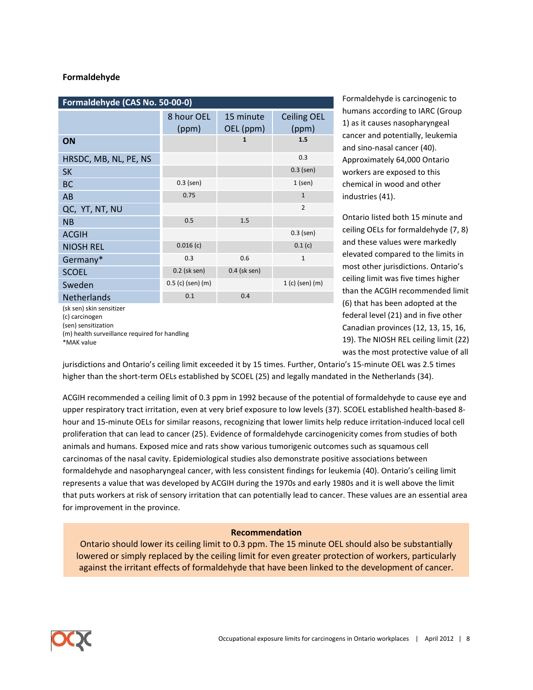#### **Formaldehyde**

| Formaldehyde (CAS No. 50-00-0) |                     |                        |                             |
|--------------------------------|---------------------|------------------------|-----------------------------|
|                                | 8 hour OEL<br>(ppm) | 15 minute<br>OEL (ppm) | <b>Ceiling OEL</b><br>(ppm) |
| ON                             |                     | 1                      | 1.5                         |
| HRSDC, MB, NL, PE, NS          |                     |                        | 0.3                         |
| <b>SK</b>                      |                     |                        | $0.3$ (sen)                 |
| <b>BC</b>                      | $0.3$ (sen)         |                        | $1$ (sen)                   |
| AB                             | 0.75                |                        | $\mathbf{1}$                |
| QC, YT, NT, NU                 |                     |                        | $\overline{2}$              |
| <b>NB</b>                      | 0.5                 | 1.5                    |                             |
| <b>ACGIH</b>                   |                     |                        | $0.3$ (sen)                 |
| <b>NIOSH REL</b>               | 0.016(c)            |                        | 0.1(c)                      |
| Germany*                       | 0.3                 | 0.6                    | $\mathbf{1}$                |
| <b>SCOEL</b>                   | 0.2 (sk sen)        | $0.4$ (sk sen)         |                             |
| Sweden                         | $0.5$ (c) (sen) (m) |                        | $1(c)$ (sen) (m)            |
| <b>Netherlands</b>             | 0.1                 | 0.4                    |                             |
| (sk sen) skin sensitizer       |                     |                        |                             |

(c) carcinogen (sen) sensitization (m) health surveillance required for handling \*MAK value

Formaldehyde is carcinogenic to humans according to IARC (Group 1) as it causes nasopharyngeal cancer and potentially, leukemia and sino-nasal cancer (40). Approximately 64,000 Ontario workers are exposed to this chemical in wood and other industries (41).

Ontario listed both 15 minute and ceiling OELs for formaldehyde (7, 8) and these values were markedly elevated compared to the limits in most other jurisdictions. Ontario's ceiling limit was five times higher than the ACGIH recommended limit (6) that has been adopted at the federal level (21) and in five other Canadian provinces (12, 13, 15, 16, 19). The NIOSH REL ceiling limit (22) was the most protective value of all

jurisdictions and Ontario's ceiling limit exceeded it by 15 times. Further, Ontario's 15-minute OEL was 2.5 times higher than the short-term OELs established by SCOEL (25) and legally mandated in the Netherlands (34).

ACGIH recommended a ceiling limit of 0.3 ppm in 1992 because of the potential of formaldehyde to cause eye and upper respiratory tract irritation, even at very brief exposure to low levels (37). SCOEL established health-based 8 hour and 15-minute OELs for similar reasons, recognizing that lower limits help reduce irritation-induced local cell proliferation that can lead to cancer (25). Evidence of formaldehyde carcinogenicity comes from studies of both animals and humans. Exposed mice and rats show various tumorigenic outcomes such as squamous cell carcinomas of the nasal cavity. Epidemiological studies also demonstrate positive associations between formaldehyde and nasopharyngeal cancer, with less consistent findings for leukemia (40). Ontario's ceiling limit represents a value that was developed by ACGIH during the 1970s and early 1980s and it is well above the limit that puts workers at risk of sensory irritation that can potentially lead to cancer. These values are an essential area for improvement in the province.

#### **Recommendation**

Ontario should lower its ceiling limit to 0.3 ppm. The 15 minute OEL should also be substantially lowered or simply replaced by the ceiling limit for even greater protection of workers, particularly against the irritant effects of formaldehyde that have been linked to the development of cancer.

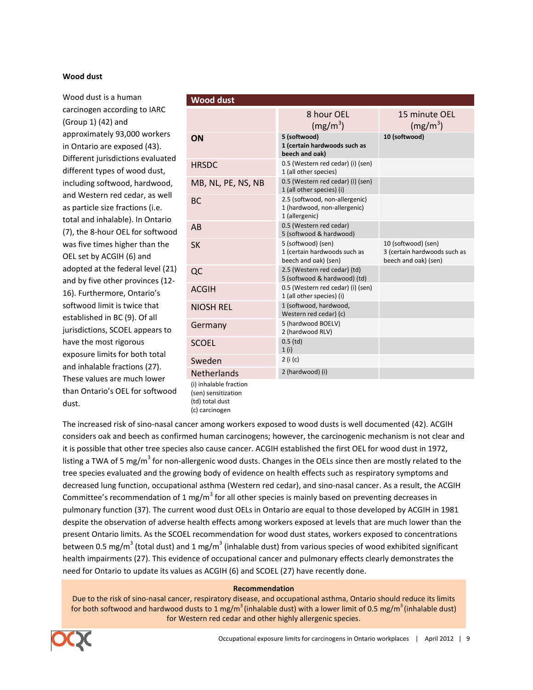#### **Wood dust**

Wood dust is a human carcinogen according to IARC (Group 1) (42) and approximately 93,000 workers in Ontario are exposed (43). Different jurisdictions evaluated different types of wood dust, including softwood, hardwood, and Western red cedar, as well as particle size fractions (i.e. total and inhalable). In Ontario (7), the 8-hour OEL for softwood was five times higher than the OEL set by ACGIH (6) and adopted at the federal level (21) and by five other provinces (12- 16). Furthermore, Ontario's softwood limit is twice that established in BC (9). Of all jurisdictions, SCOEL appears to have the most rigorous exposure limits for both total and inhalable fractions (27). These values are much lower than Ontario's OEL for softwood dust.

| <b>Wood dust</b>       |                                                                                  |                                                                             |
|------------------------|----------------------------------------------------------------------------------|-----------------------------------------------------------------------------|
|                        | 8 hour OEL<br>$(mg/m^3)$                                                         | 15 minute OEL<br>$(mg/m^3)$                                                 |
| ON                     | 5 (softwood)<br>1 (certain hardwoods such as<br>beech and oak)                   | 10 (softwood)                                                               |
| <b>HRSDC</b>           | 0.5 (Western red cedar) (i) (sen)<br>1 (all other species)                       |                                                                             |
| MB, NL, PE, NS, NB     | 0.5 (Western red cedar) (i) (sen)<br>1 (all other species) (i)                   |                                                                             |
| <b>BC</b>              | 2.5 (softwood, non-allergenic)<br>1 (hardwood, non-allergenic)<br>1 (allergenic) |                                                                             |
| AB                     | 0.5 (Western red cedar)<br>5 (softwood & hardwood)                               |                                                                             |
| <b>SK</b>              | 5 (softwood) (sen)<br>1 (certain hardwoods such as<br>beech and oak) (sen)       | 10 (softwood) (sen)<br>3 (certain hardwoods such as<br>beech and oak) (sen) |
| QC                     | 2.5 (Western red cedar) (td)<br>5 (softwood & hardwood) (td)                     |                                                                             |
| <b>ACGIH</b>           | 0.5 (Western red cedar) (i) (sen)<br>1 (all other species) (i)                   |                                                                             |
| <b>NIOSH REL</b>       | 1 (softwood, hardwood,<br>Western red cedar) (c)                                 |                                                                             |
| Germany                | 5 (hardwood BOELV)<br>2 (hardwood RLV)                                           |                                                                             |
| <b>SCOEL</b>           | $0.5$ (td)<br>1(i)                                                               |                                                                             |
| Sweden                 | 2 (i (c)                                                                         |                                                                             |
| <b>Netherlands</b>     | 2 (hardwood) (i)                                                                 |                                                                             |
| (i) inhalable fraction |                                                                                  |                                                                             |

(sen) sensitization (td) total dust (c) carcinogen

The increased risk of sino-nasal cancer among workers exposed to wood dusts is well documented (42). ACGIH considers oak and beech as confirmed human carcinogens; however, the carcinogenic mechanism is not clear and it is possible that other tree species also cause cancer. ACGIH established the first OEL for wood dust in 1972, listing a TWA of 5 mg/m<sup>3</sup> for non-allergenic wood dusts. Changes in the OELs since then are mostly related to the tree species evaluated and the growing body of evidence on health effects such as respiratory symptoms and decreased lung function, occupational asthma (Western red cedar), and sino-nasal cancer. As a result, the ACGIH Committee's recommendation of 1 mg/m<sup>3</sup> for all other species is mainly based on preventing decreases in pulmonary function (37). The current wood dust OELs in Ontario are equal to those developed by ACGIH in 1981 despite the observation of adverse health effects among workers exposed at levels that are much lower than the present Ontario limits. As the SCOEL recommendation for wood dust states, workers exposed to concentrations between 0.5 mg/m<sup>3</sup> (total dust) and 1 mg/m<sup>3</sup> (inhalable dust) from various species of wood exhibited significant health impairments (27). This evidence of occupational cancer and pulmonary effects clearly demonstrates the need for Ontario to update its values as ACGIH (6) and SCOEL (27) have recently done.

#### **Recommendation**

Due to the risk of sino-nasal cancer, respiratory disease, and occupational asthma, Ontario should reduce its limits for both softwood and hardwood dusts to 1 mg/m<sup>3</sup>(inhalable dust) with a lower limit of 0.5 mg/m<sup>3</sup>(inhalable dust) for Western red cedar and other highly allergenic species.

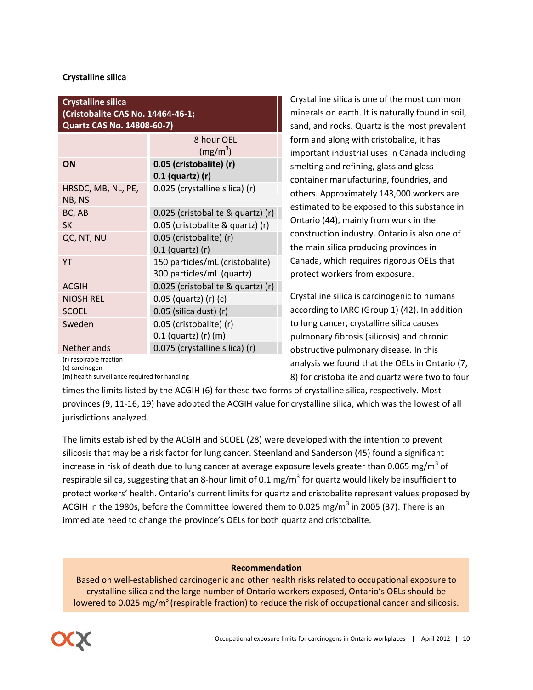## **Crystalline silica**

## **Crystalline silica (Cristobalite CAS No. 14464-46-1; Quartz CAS No. 14808-60-7)**

|                              | 8 hour OEL<br>$(mg/m^3)$          |
|------------------------------|-----------------------------------|
| ON                           | 0.05 (cristobalite) (r)           |
|                              | $0.1$ (quartz) (r)                |
| HRSDC, MB, NL, PE,<br>NB, NS | 0.025 (crystalline silica) (r)    |
| BC, AB                       | 0.025 (cristobalite & quartz) (r) |
| <b>SK</b>                    | 0.05 (cristobalite & quartz) (r)  |
| QC, NT, NU                   | 0.05 (cristobalite) (r)           |
|                              | $0.1$ (quartz) (r)                |
| YT                           | 150 particles/mL (cristobalite)   |
|                              | 300 particles/mL (quartz)         |
| <b>ACGIH</b>                 | 0.025 (cristobalite & quartz) (r) |
| <b>NIOSH REL</b>             | 0.05 (quartz) (r) (c)             |
| <b>SCOEL</b>                 | 0.05 (silica dust) (r)            |
| Sweden                       | 0.05 (cristobalite) (r)           |
|                              | 0.1 (quartz) (r) (m)              |
| <b>Netherlands</b>           | 0.075 (crystalline silica) (r)    |

Crystalline silica is one of the most common minerals on earth. It is naturally found in soil, sand, and rocks. Quartz is the most prevalent form and along with cristobalite, it has important industrial uses in Canada including smelting and refining, glass and glass container manufacturing, foundries, and others. Approximately 143,000 workers are estimated to be exposed to this substance in Ontario (44), mainly from work in the construction industry. Ontario is also one of the main silica producing provinces in Canada, which requires rigorous OELs that protect workers from exposure.

Crystalline silica is carcinogenic to humans according to IARC (Group 1) (42). In addition to lung cancer, crystalline silica causes pulmonary fibrosis (silicosis) and chronic obstructive pulmonary disease. In this analysis we found that the OELs in Ontario (7, 8) for cristobalite and quartz were two to four

(r) respirable fraction

(c) carcinogen

(m) health surveillance required for handling

times the limits listed by the ACGIH (6) for these two forms of crystalline silica, respectively. Most provinces (9, 11-16, 19) have adopted the ACGIH value for crystalline silica, which was the lowest of all jurisdictions analyzed.

The limits established by the ACGIH and SCOEL (28) were developed with the intention to prevent silicosis that may be a risk factor for lung cancer. Steenland and Sanderson (45) found a significant increase in risk of death due to lung cancer at average exposure levels greater than 0.065 mg/m $^3$  of respirable silica, suggesting that an 8-hour limit of 0.1 mg/m<sup>3</sup> for quartz would likely be insufficient to protect workers' health. Ontario's current limits for quartz and cristobalite represent values proposed by ACGIH in the 1980s, before the Committee lowered them to 0.025 mg/m<sup>3</sup> in 2005 (37). There is an immediate need to change the province's OELs for both quartz and cristobalite.

## **Recommendation**

Based on well-established carcinogenic and other health risks related to occupational exposure to crystalline silica and the large number of Ontario workers exposed, Ontario's OELs should be lowered to 0.025 mg/m<sup>3</sup> (respirable fraction) to reduce the risk of occupational cancer and silicosis.

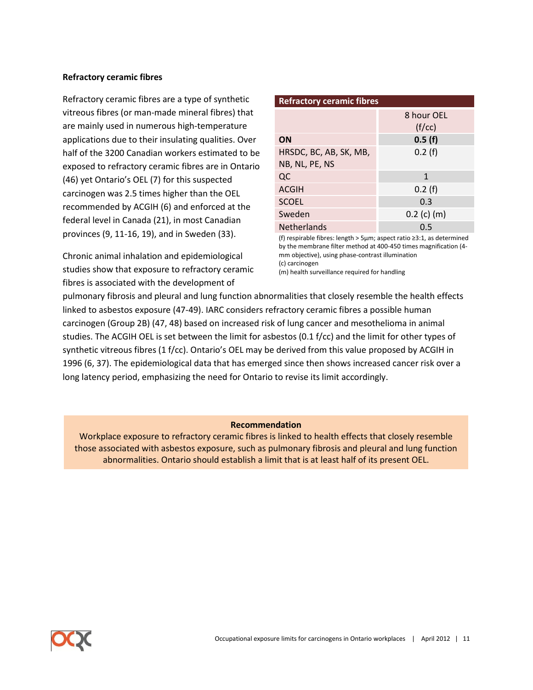#### **Refractory ceramic fibres**

Refractory ceramic fibres are a type of synthetic vitreous fibres (or man-made mineral fibres) that are mainly used in numerous high-temperature applications due to their insulating qualities. Over half of the 3200 Canadian workers estimated to be exposed to refractory ceramic fibres are in Ontario (46) yet Ontario's OEL (7) for this suspected carcinogen was 2.5 times higher than the OEL recommended by ACGIH (6) and enforced at the federal level in Canada (21), in most Canadian provinces (9, 11-16, 19), and in Sweden (33).

Chronic animal inhalation and epidemiological studies show that exposure to refractory ceramic fibres is associated with the development of

| <b>Refractory ceramic fibres</b> |               |  |
|----------------------------------|---------------|--|
|                                  | 8 hour OEL    |  |
|                                  | (f/cc)        |  |
| ON                               | 0.5(f)        |  |
| HRSDC, BC, AB, SK, MB,           | 0.2(f)        |  |
| NB, NL, PE, NS                   |               |  |
| QC                               | 1             |  |
| <b>ACGIH</b>                     | 0.2(f)        |  |
| <b>SCOEL</b>                     | 0.3           |  |
| Sweden                           | $0.2$ (c) (m) |  |
| <b>Netherlands</b>               | 0.5           |  |

(f) respirable fibres: length > 5µm; aspect ratio ≥3:1, as determined by the membrane filter method at 400-450 times magnification (4 mm objective), using phase-contrast illumination (c) carcinogen

(m) health surveillance required for handling

pulmonary fibrosis and pleural and lung function abnormalities that closely resemble the health effects linked to asbestos exposure (47-49). IARC considers refractory ceramic fibres a possible human carcinogen (Group 2B) (47, 48) based on increased risk of lung cancer and mesothelioma in animal studies. The ACGIH OEL is set between the limit for asbestos (0.1 f/cc) and the limit for other types of synthetic vitreous fibres (1 f/cc). Ontario's OEL may be derived from this value proposed by ACGIH in 1996 (6, 37). The epidemiological data that has emerged since then shows increased cancer risk over a long latency period, emphasizing the need for Ontario to revise its limit accordingly.

#### **Recommendation**

Workplace exposure to refractory ceramic fibres is linked to health effects that closely resemble those associated with asbestos exposure, such as pulmonary fibrosis and pleural and lung function abnormalities. Ontario should establish a limit that is at least half of its present OEL.

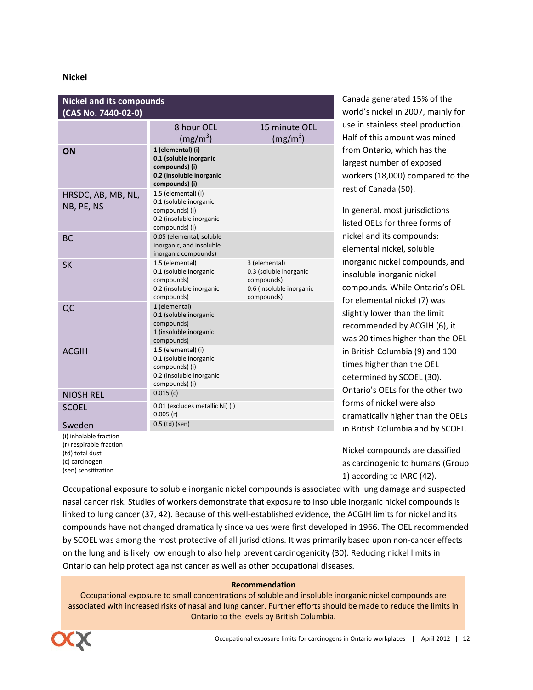#### **Nickel**

| <b>Nickel and its compounds</b><br>(CAS No. 7440-02-0) |                                                                                                               |                                                                                                 |
|--------------------------------------------------------|---------------------------------------------------------------------------------------------------------------|-------------------------------------------------------------------------------------------------|
|                                                        | 8 hour OEL                                                                                                    | 15 minute OEL                                                                                   |
|                                                        | $(mg/m^3)$                                                                                                    | $(mg/m^3)$                                                                                      |
| ON                                                     | 1 (elemental) (i)<br>0.1 (soluble inorganic<br>compounds) (i)<br>0.2 (insoluble inorganic<br>compounds) (i)   |                                                                                                 |
| HRSDC, AB, MB, NL,<br>NB, PE, NS                       | 1.5 (elemental) (i)<br>0.1 (soluble inorganic<br>compounds) (i)<br>0.2 (insoluble inorganic<br>compounds) (i) |                                                                                                 |
| <b>BC</b>                                              | 0.05 (elemental, soluble<br>inorganic, and insoluble<br>inorganic compounds)                                  |                                                                                                 |
| <b>SK</b>                                              | 1.5 (elemental)<br>0.1 (soluble inorganic<br>compounds)<br>0.2 (insoluble inorganic<br>compounds)             | 3 (elemental)<br>0.3 (soluble inorganic<br>compounds)<br>0.6 (insoluble inorganic<br>compounds) |
| QC                                                     | 1 (elemental)<br>0.1 (soluble inorganic<br>compounds)<br>1 (insoluble inorganic<br>compounds)                 |                                                                                                 |
| <b>ACGIH</b>                                           | 1.5 (elemental) (i)<br>0.1 (soluble inorganic<br>compounds) (i)<br>0.2 (insoluble inorganic<br>compounds) (i) |                                                                                                 |
| <b>NIOSH REL</b>                                       | 0.015(c)                                                                                                      |                                                                                                 |
| <b>SCOEL</b>                                           | 0.01 (excludes metallic Ni) (i)<br>0.005(r)                                                                   |                                                                                                 |
| Sweden                                                 | 0.5 (td) (sen)                                                                                                |                                                                                                 |
| (i) inhalable fraction                                 |                                                                                                               |                                                                                                 |

(r) respirable fraction (td) total dust (c) carcinogen (sen) sensitization

Canada generated 15% of the world's nickel in 2007, mainly for use in stainless steel production. Half of this amount was mined from Ontario, which has the largest number of exposed workers (18,000) compared to the rest of Canada (50).

In general, most jurisdictions listed OELs for three forms of nickel and its compounds: elemental nickel, soluble inorganic nickel compounds, and insoluble inorganic nickel compounds. While Ontario's OEL for elemental nickel (7) was slightly lower than the limit recommended by ACGIH (6), it was 20 times higher than the OEL in British Columbia (9) and 100 times higher than the OEL determined by SCOEL (30). Ontario's OELs for the other two forms of nickel were also dramatically higher than the OELs in British Columbia and by SCOEL.

Nickel compounds are classified as carcinogenic to humans (Group 1) according to IARC (42).

Occupational exposure to soluble inorganic nickel compounds is associated with lung damage and suspected nasal cancer risk. Studies of workers demonstrate that exposure to insoluble inorganic nickel compounds is linked to lung cancer (37, 42). Because of this well-established evidence, the ACGIH limits for nickel and its compounds have not changed dramatically since values were first developed in 1966. The OEL recommended by SCOEL was among the most protective of all jurisdictions. It was primarily based upon non-cancer effects on the lung and is likely low enough to also help prevent carcinogenicity (30). Reducing nickel limits in Ontario can help protect against cancer as well as other occupational diseases.

#### **Recommendation**

Occupational exposure to small concentrations of soluble and insoluble inorganic nickel compounds are associated with increased risks of nasal and lung cancer. Further efforts should be made to reduce the limits in Ontario to the levels by British Columbia.

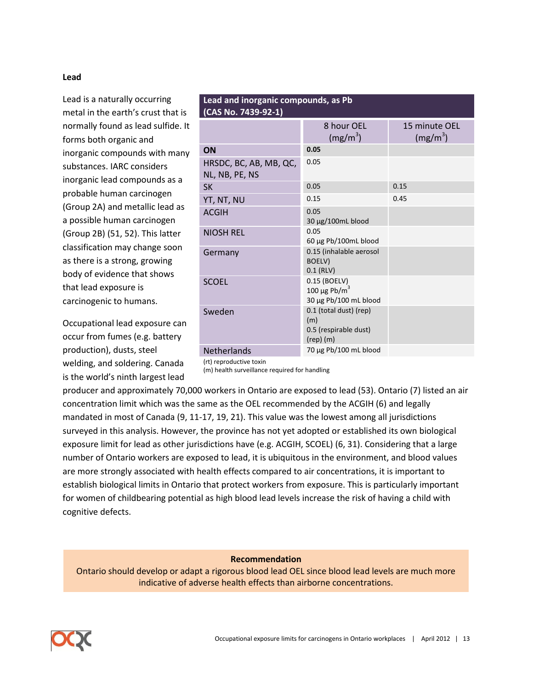#### **Lead**

Lead is a naturally occurring metal in the earth's crust that is normally found as lead sulfide. It forms both organic and inorganic compounds with many substances. IARC considers inorganic lead compounds as a probable human carcinogen (Group 2A) and metallic lead as a possible human carcinogen (Group 2B) (51, 52). This latter classification may change soon as there is a strong, growing body of evidence that shows that lead exposure is carcinogenic to humans.

Occupational lead exposure can occur from fumes (e.g. battery production), dusts, steel welding, and soldering. Canada is the world's ninth largest lead

| Lead and inorganic compounds, as Pb<br>(CAS No. 7439-92-1) |                                                                         |                             |
|------------------------------------------------------------|-------------------------------------------------------------------------|-----------------------------|
|                                                            | 8 hour OEL<br>$(mg/m^3)$                                                | 15 minute OEL<br>$(mg/m^3)$ |
| ON                                                         | 0.05                                                                    |                             |
| HRSDC, BC, AB, MB, QC,<br>NL, NB, PE, NS                   | 0.05                                                                    |                             |
| <b>SK</b>                                                  | 0.05                                                                    | 0.15                        |
| YT, NT, NU                                                 | 0.15                                                                    | 0.45                        |
| <b>ACGIH</b>                                               | 0.05<br>30 µg/100mL blood                                               |                             |
| <b>NIOSH REL</b>                                           | 0.05<br>60 µg Pb/100mL blood                                            |                             |
| Germany                                                    | 0.15 (inhalable aerosol<br>BOELV)<br>$0.1$ (RLV)                        |                             |
| <b>SCOEL</b>                                               | 0.15 (BOELV)<br>100 µg Pb/m <sup>3</sup><br>30 µg Pb/100 mL blood       |                             |
| Sweden                                                     | 0.1 (total dust) (rep)<br>(m)<br>0.5 (respirable dust)<br>$(rep)$ $(m)$ |                             |
| Netherlands                                                | 70 μg Pb/100 mL blood                                                   |                             |

(rt) reproductive toxin

(m) health surveillance required for handling

producer and approximately 70,000 workers in Ontario are exposed to lead (53). Ontario (7) listed an air concentration limit which was the same as the OEL recommended by the ACGIH (6) and legally mandated in most of Canada (9, 11-17, 19, 21). This value was the lowest among all jurisdictions surveyed in this analysis. However, the province has not yet adopted or established its own biological exposure limit for lead as other jurisdictions have (e.g. ACGIH, SCOEL) (6, 31). Considering that a large number of Ontario workers are exposed to lead, it is ubiquitous in the environment, and blood values are more strongly associated with health effects compared to air concentrations, it is important to establish biological limits in Ontario that protect workers from exposure. This is particularly important for women of childbearing potential as high blood lead levels increase the risk of having a child with cognitive defects.

**Recommendation**

Ontario should develop or adapt a rigorous blood lead OEL since blood lead levels are much more indicative of adverse health effects than airborne concentrations.

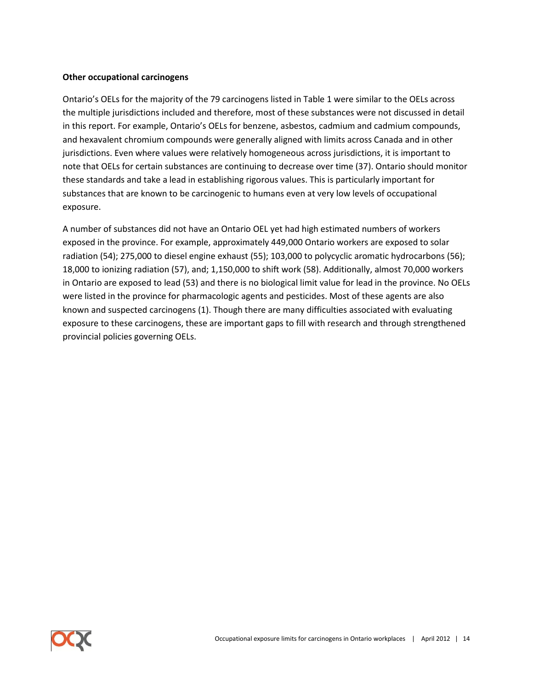#### **Other occupational carcinogens**

Ontario's OELs for the majority of the 79 carcinogens listed in Table 1 were similar to the OELs across the multiple jurisdictions included and therefore, most of these substances were not discussed in detail in this report. For example, Ontario's OELs for benzene, asbestos, cadmium and cadmium compounds, and hexavalent chromium compounds were generally aligned with limits across Canada and in other jurisdictions. Even where values were relatively homogeneous across jurisdictions, it is important to note that OELs for certain substances are continuing to decrease over time (37). Ontario should monitor these standards and take a lead in establishing rigorous values. This is particularly important for substances that are known to be carcinogenic to humans even at very low levels of occupational exposure.

A number of substances did not have an Ontario OEL yet had high estimated numbers of workers exposed in the province. For example, approximately 449,000 Ontario workers are exposed to solar radiation (54); 275,000 to diesel engine exhaust (55); 103,000 to polycyclic aromatic hydrocarbons (56); 18,000 to ionizing radiation (57), and; 1,150,000 to shift work (58). Additionally, almost 70,000 workers in Ontario are exposed to lead (53) and there is no biological limit value for lead in the province. No OELs were listed in the province for pharmacologic agents and pesticides. Most of these agents are also known and suspected carcinogens (1). Though there are many difficulties associated with evaluating exposure to these carcinogens, these are important gaps to fill with research and through strengthened provincial policies governing OELs.

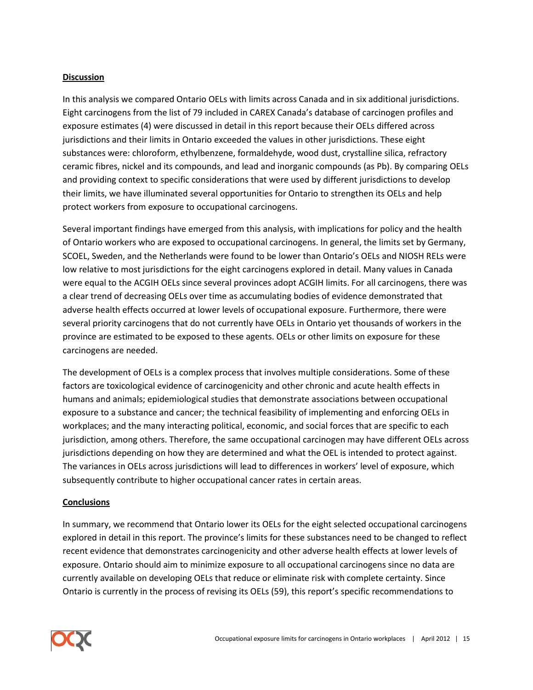## **Discussion**

In this analysis we compared Ontario OELs with limits across Canada and in six additional jurisdictions. Eight carcinogens from the list of 79 included in CAREX Canada's database of carcinogen profiles and exposure estimates (4) were discussed in detail in this report because their OELs differed across jurisdictions and their limits in Ontario exceeded the values in other jurisdictions. These eight substances were: chloroform, ethylbenzene, formaldehyde, wood dust, crystalline silica, refractory ceramic fibres, nickel and its compounds, and lead and inorganic compounds (as Pb). By comparing OELs and providing context to specific considerations that were used by different jurisdictions to develop their limits, we have illuminated several opportunities for Ontario to strengthen its OELs and help protect workers from exposure to occupational carcinogens.

Several important findings have emerged from this analysis, with implications for policy and the health of Ontario workers who are exposed to occupational carcinogens. In general, the limits set by Germany, SCOEL, Sweden, and the Netherlands were found to be lower than Ontario's OELs and NIOSH RELs were low relative to most jurisdictions for the eight carcinogens explored in detail. Many values in Canada were equal to the ACGIH OELs since several provinces adopt ACGIH limits. For all carcinogens, there was a clear trend of decreasing OELs over time as accumulating bodies of evidence demonstrated that adverse health effects occurred at lower levels of occupational exposure. Furthermore, there were several priority carcinogens that do not currently have OELs in Ontario yet thousands of workers in the province are estimated to be exposed to these agents. OELs or other limits on exposure for these carcinogens are needed.

The development of OELs is a complex process that involves multiple considerations. Some of these factors are toxicological evidence of carcinogenicity and other chronic and acute health effects in humans and animals; epidemiological studies that demonstrate associations between occupational exposure to a substance and cancer; the technical feasibility of implementing and enforcing OELs in workplaces; and the many interacting political, economic, and social forces that are specific to each jurisdiction, among others. Therefore, the same occupational carcinogen may have different OELs across jurisdictions depending on how they are determined and what the OEL is intended to protect against. The variances in OELs across jurisdictions will lead to differences in workers' level of exposure, which subsequently contribute to higher occupational cancer rates in certain areas.

## **Conclusions**

In summary, we recommend that Ontario lower its OELs for the eight selected occupational carcinogens explored in detail in this report. The province's limits for these substances need to be changed to reflect recent evidence that demonstrates carcinogenicity and other adverse health effects at lower levels of exposure. Ontario should aim to minimize exposure to all occupational carcinogens since no data are currently available on developing OELs that reduce or eliminate risk with complete certainty. Since Ontario is currently in the process of revising its OELs (59), this report's specific recommendations to

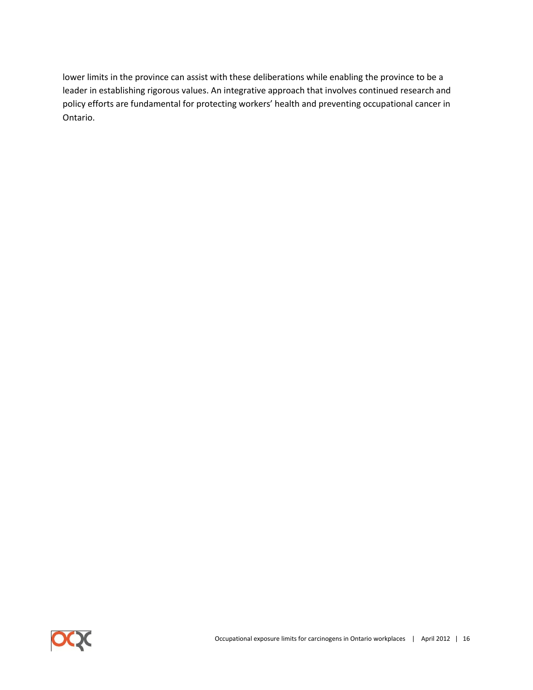lower limits in the province can assist with these deliberations while enabling the province to be a leader in establishing rigorous values. An integrative approach that involves continued research and policy efforts are fundamental for protecting workers' health and preventing occupational cancer in Ontario.

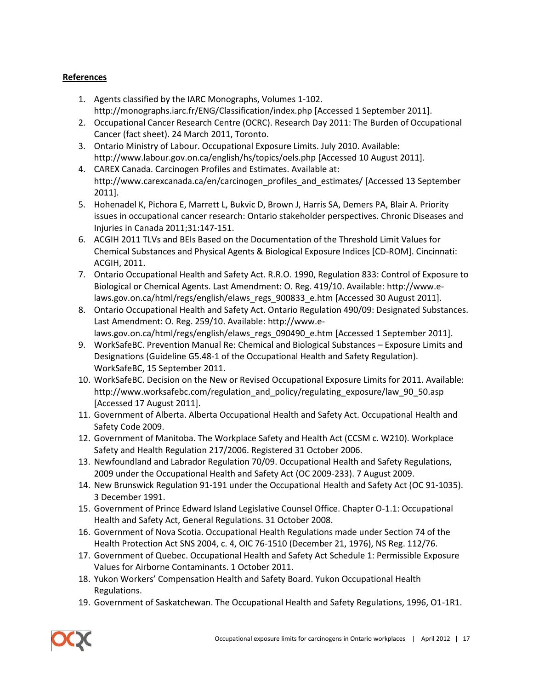# **References**

- 1. Agents classified by the IARC Monographs, Volumes 1-102. <http://monographs.iarc.fr/ENG/Classification/index.php> [Accessed 1 September 2011].
- 2. Occupational Cancer Research Centre (OCRC). Research Day 2011: The Burden of Occupational Cancer (fact sheet). 24 March 2011, Toronto.
- 3. Ontario Ministry of Labour. Occupational Exposure Limits. July 2010. Available: http://www.labour.gov.on.ca/english/hs/topics/oels.php [Accessed 10 August 2011].
- 4. CAREX Canada. Carcinogen Profiles and Estimates. Available at: [http://www.carexcanada.ca/en/carcinogen\\_profiles\\_and\\_estimates/](http://www.carexcanada.ca/en/carcinogen_profiles_and_estimates/) [Accessed 13 September 2011].
- 5. Hohenadel K, Pichora E, Marrett L, Bukvic D, Brown J, Harris SA, Demers PA, Blair A. Priority issues in occupational cancer research: Ontario stakeholder perspectives. Chronic Diseases and Injuries in Canada 2011;31:147-151.
- 6. ACGIH 2011 TLVs and BEIs Based on the Documentation of the Threshold Limit Values for Chemical Substances and Physical Agents & Biological Exposure Indices [CD-ROM]. Cincinnati: ACGIH, 2011.
- 7. Ontario Occupational Health and Safety Act. R.R.O. 1990, Regulation 833: Control of Exposure to Biological or Chemical Agents. Last Amendment: O. Reg. 419/10. Available: [http://www.e](http://www.e-laws.gov.on.ca/html/regs/english/elaws_regs_900833_e.htm)[laws.gov.on.ca/html/regs/english/elaws\\_regs\\_900833\\_e.htm](http://www.e-laws.gov.on.ca/html/regs/english/elaws_regs_900833_e.htm) [Accessed 30 August 2011].
- 8. Ontario Occupational Health and Safety Act. Ontario Regulation 490/09: Designated Substances. Last Amendment: O. Reg. 259/10. Available: http://www.elaws.gov.on.ca/html/regs/english/elaws\_regs\_090490\_e.htm [Accessed 1 September 2011].
- 9. WorkSafeBC. Prevention Manual Re: Chemical and Biological Substances Exposure Limits and Designations (Guideline G5.48-1 of the Occupational Health and Safety Regulation). WorkSafeBC, 15 September 2011.
- 10. WorkSafeBC. Decision on the New or Revised Occupational Exposure Limits for 2011. Available: http://www.worksafebc.com/regulation\_and\_policy/regulating\_exposure/law\_90\_50.asp [Accessed 17 August 2011].
- 11. Government of Alberta. Alberta Occupational Health and Safety Act. Occupational Health and Safety Code 2009.
- 12. Government of Manitoba. The Workplace Safety and Health Act (CCSM c. W210). Workplace Safety and Health Regulation 217/2006. Registered 31 October 2006.
- 13. Newfoundland and Labrador Regulation 70/09. Occupational Health and Safety Regulations, 2009 under the Occupational Health and Safety Act (OC 2009-233). 7 August 2009.
- 14. New Brunswick Regulation 91-191 under the Occupational Health and Safety Act (OC 91-1035). 3 December 1991.
- 15. Government of Prince Edward Island Legislative Counsel Office. Chapter O-1.1: Occupational Health and Safety Act, General Regulations. 31 October 2008.
- 16. Government of Nova Scotia. Occupational Health Regulations made under Section 74 of the Health Protection Act SNS 2004, c. 4, OIC 76-1510 (December 21, 1976), NS Reg. 112/76.
- 17. Government of Quebec. Occupational Health and Safety Act Schedule 1: Permissible Exposure Values for Airborne Contaminants. 1 October 2011.
- 18. Yukon Workers' Compensation Health and Safety Board. Yukon Occupational Health Regulations.
- 19. Government of Saskatchewan. The Occupational Health and Safety Regulations, 1996, O1-1R1.

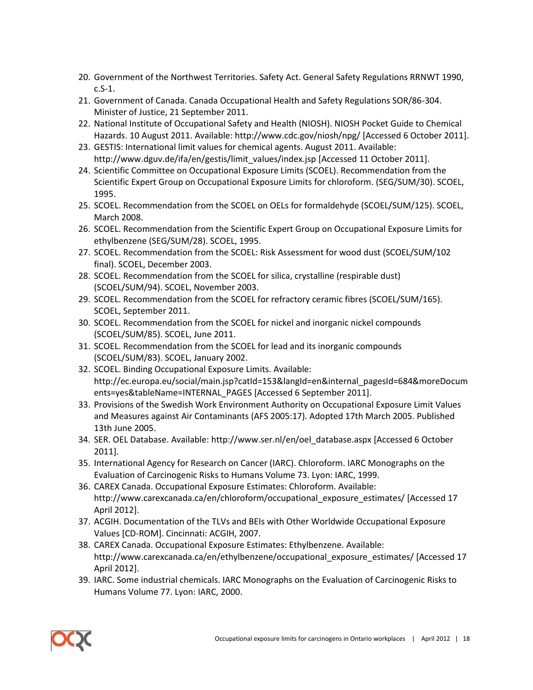- 20. Government of the Northwest Territories. Safety Act. General Safety Regulations RRNWT 1990, c.S-1.
- 21. Government of Canada. Canada Occupational Health and Safety Regulations SOR/86-304. Minister of Justice, 21 September 2011.
- 22. National Institute of Occupational Safety and Health (NIOSH). NIOSH Pocket Guide to Chemical Hazards. 10 August 2011. Available: http://www.cdc.gov/niosh/npg/ [Accessed 6 October 2011].
- 23. GESTIS: International limit values for chemical agents. August 2011. Available: [http://www.dguv.de/ifa/en/gestis/limit\\_values/index.jsp](http://www.dguv.de/ifa/en/gestis/limit_values/index.jsp) [Accessed 11 October 2011].
- 24. Scientific Committee on Occupational Exposure Limits (SCOEL). Recommendation from the Scientific Expert Group on Occupational Exposure Limits for chloroform. (SEG/SUM/30). SCOEL, 1995.
- 25. SCOEL. Recommendation from the SCOEL on OELs for formaldehyde (SCOEL/SUM/125). SCOEL, March 2008.
- 26. SCOEL. Recommendation from the Scientific Expert Group on Occupational Exposure Limits for ethylbenzene (SEG/SUM/28). SCOEL, 1995.
- 27. SCOEL. Recommendation from the SCOEL: Risk Assessment for wood dust (SCOEL/SUM/102 final). SCOEL, December 2003.
- 28. SCOEL. Recommendation from the SCOEL for silica, crystalline (respirable dust) (SCOEL/SUM/94). SCOEL, November 2003.
- 29. SCOEL. Recommendation from the SCOEL for refractory ceramic fibres (SCOEL/SUM/165). SCOEL, September 2011.
- 30. SCOEL. Recommendation from the SCOEL for nickel and inorganic nickel compounds (SCOEL/SUM/85). SCOEL, June 2011.
- 31. SCOEL. Recommendation from the SCOEL for lead and its inorganic compounds (SCOEL/SUM/83). SCOEL, January 2002.
- 32. SCOEL. Binding Occupational Exposure Limits. Available: http://ec.europa.eu/social/main.jsp?catId=153&langId=en&internal\_pagesId=684&moreDocum ents=yes&tableName=INTERNAL\_PAGES [Accessed 6 September 2011].
- 33. Provisions of the Swedish Work Environment Authority on Occupational Exposure Limit Values and Measures against Air Contaminants (AFS 2005:17). Adopted 17th March 2005. Published 13th June 2005.
- 34. SER. OEL Database. Available[: http://www.ser.nl/en/oel\\_database.aspx](http://www.ser.nl/en/oel_database.aspx) [Accessed 6 October 2011].
- 35. International Agency for Research on Cancer (IARC). Chloroform. IARC Monographs on the Evaluation of Carcinogenic Risks to Humans Volume 73. Lyon: IARC, 1999.
- 36. CAREX Canada. Occupational Exposure Estimates: Chloroform. Available: http://www.carexcanada.ca/en/chloroform/occupational\_exposure\_estimates/ [Accessed 17 April 2012].
- 37. ACGIH. Documentation of the TLVs and BEIs with Other Worldwide Occupational Exposure Values [CD-ROM]. Cincinnati: ACGIH, 2007.
- 38. CAREX Canada. Occupational Exposure Estimates: Ethylbenzene. Available: http://www.carexcanada.ca/en/ethylbenzene/occupational\_exposure\_estimates/ [Accessed 17 April 2012].
- 39. IARC. Some industrial chemicals. IARC Monographs on the Evaluation of Carcinogenic Risks to Humans Volume 77. Lyon: IARC, 2000.

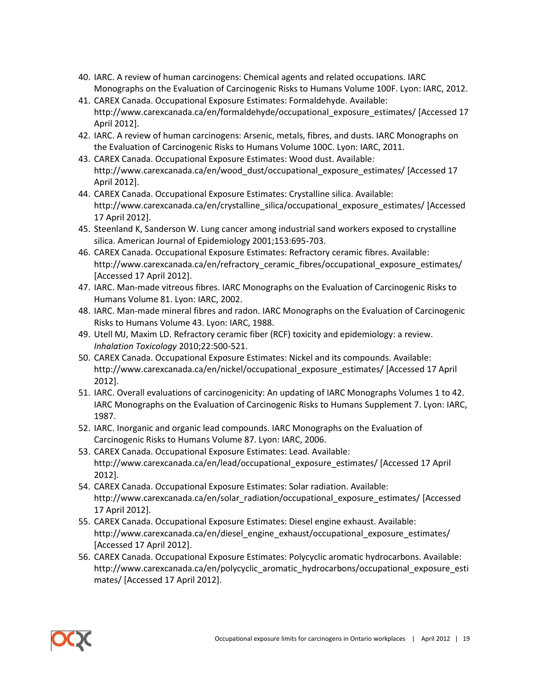- 40. IARC. A review of human carcinogens: Chemical agents and related occupations. IARC Monographs on the Evaluation of Carcinogenic Risks to Humans Volume 100F. Lyon: IARC, 2012.
- 41. CAREX Canada. Occupational Exposure Estimates: Formaldehyde. Available: http://www.carexcanada.ca/en/formaldehyde/occupational\_exposure\_estimates/ [Accessed 17 April 2012].
- 42. IARC. A review of human carcinogens: Arsenic, metals, fibres, and dusts. IARC Monographs on the Evaluation of Carcinogenic Risks to Humans Volume 100C. Lyon: IARC, 2011.
- 43. CAREX Canada. Occupational Exposure Estimates: Wood dust. Available: http://www.carexcanada.ca/en/wood\_dust/occupational\_exposure\_estimates/ [Accessed 17 April 2012].
- 44. CAREX Canada. Occupational Exposure Estimates: Crystalline silica. Available: http://www.carexcanada.ca/en/crystalline\_silica/occupational\_exposure\_estimates/ [Accessed 17 April 2012].
- 45. Steenland K, Sanderson W. Lung cancer among industrial sand workers exposed to crystalline silica. American Journal of Epidemiology 2001;153:695-703.
- 46. CAREX Canada. Occupational Exposure Estimates: Refractory ceramic fibres. Available: http://www.carexcanada.ca/en/refractory\_ceramic\_fibres/occupational\_exposure\_estimates/ [Accessed 17 April 2012].
- 47. IARC. Man-made vitreous fibres. IARC Monographs on the Evaluation of Carcinogenic Risks to Humans Volume 81. Lyon: IARC, 2002.
- 48. IARC. Man-made mineral fibres and radon. IARC Monographs on the Evaluation of Carcinogenic Risks to Humans Volume 43. Lyon: IARC, 1988.
- 49. Utell MJ, Maxim LD. Refractory ceramic fiber (RCF) toxicity and epidemiology: a review. *Inhalation Toxicology* 2010;22:500-521.
- 50. CAREX Canada. Occupational Exposure Estimates: Nickel and its compounds. Available: http://www.carexcanada.ca/en/nickel/occupational\_exposure\_estimates/ [Accessed 17 April 2012].
- 51. IARC. Overall evaluations of carcinogenicity: An updating of IARC Monographs Volumes 1 to 42. IARC Monographs on the Evaluation of Carcinogenic Risks to Humans Supplement 7. Lyon: IARC, 1987.
- 52. IARC. Inorganic and organic lead compounds. IARC Monographs on the Evaluation of Carcinogenic Risks to Humans Volume 87. Lyon: IARC, 2006.
- 53. CAREX Canada. Occupational Exposure Estimates: Lead. Available: http://www.carexcanada.ca/en/lead/occupational\_exposure\_estimates/ [Accessed 17 April 2012].
- 54. CAREX Canada. Occupational Exposure Estimates: Solar radiation. Available: http://www.carexcanada.ca/en/solar\_radiation/occupational\_exposure\_estimates/ [Accessed 17 April 2012].
- 55. CAREX Canada. Occupational Exposure Estimates: Diesel engine exhaust. Available: http://www.carexcanada.ca/en/diesel\_engine\_exhaust/occupational\_exposure\_estimates/ [Accessed 17 April 2012].
- 56. CAREX Canada. Occupational Exposure Estimates: Polycyclic aromatic hydrocarbons. Available: http://www.carexcanada.ca/en/polycyclic\_aromatic\_hydrocarbons/occupational\_exposure\_esti mates/ [Accessed 17 April 2012].

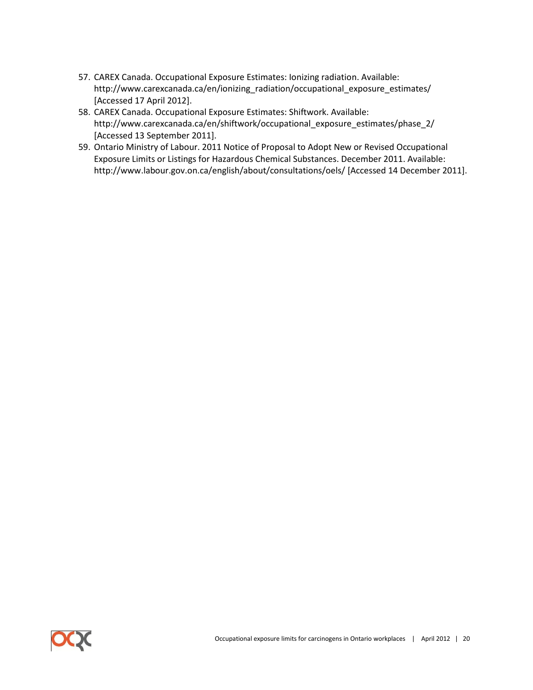- 57. CAREX Canada. Occupational Exposure Estimates: Ionizing radiation. Available: http://www.carexcanada.ca/en/ionizing\_radiation/occupational\_exposure\_estimates/ [Accessed 17 April 2012].
- 58. CAREX Canada. Occupational Exposure Estimates: Shiftwork. Available: http://www.carexcanada.ca/en/shiftwork/occupational\_exposure\_estimates/phase\_2/ [Accessed 13 September 2011].
- 59. Ontario Ministry of Labour. 2011 Notice of Proposal to Adopt New or Revised Occupational Exposure Limits or Listings for Hazardous Chemical Substances. December 2011. Available: http://www.labour.gov.on.ca/english/about/consultations/oels/ [Accessed 14 December 2011].

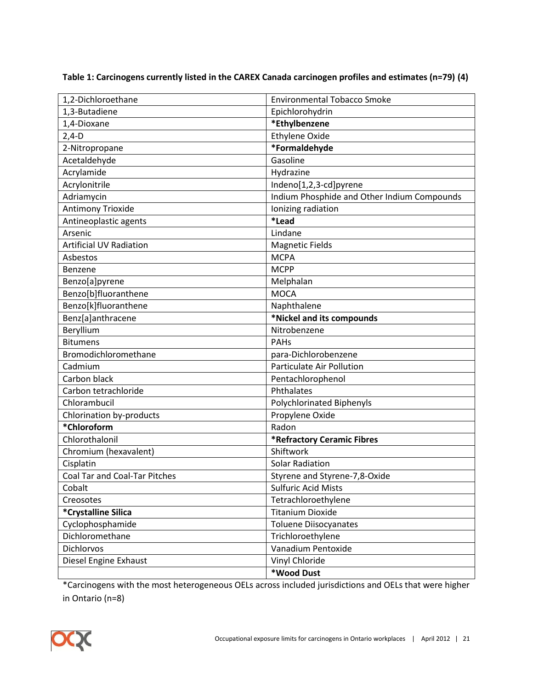**Table 1: Carcinogens currently listed in the CAREX Canada carcinogen profiles and estimates (n=79) (4)**

| 1,2-Dichloroethane             | <b>Environmental Tobacco Smoke</b>          |
|--------------------------------|---------------------------------------------|
| 1,3-Butadiene                  | Epichlorohydrin                             |
| 1,4-Dioxane                    | *Ethylbenzene                               |
| $2,4-D$                        | <b>Ethylene Oxide</b>                       |
| 2-Nitropropane                 | *Formaldehyde                               |
| Acetaldehyde                   | Gasoline                                    |
| Acrylamide                     | Hydrazine                                   |
| Acrylonitrile                  | Indeno[1,2,3-cd]pyrene                      |
| Adriamycin                     | Indium Phosphide and Other Indium Compounds |
| Antimony Trioxide              | Ionizing radiation                          |
| Antineoplastic agents          | *Lead                                       |
| Arsenic                        | Lindane                                     |
| <b>Artificial UV Radiation</b> | <b>Magnetic Fields</b>                      |
| Asbestos                       | <b>MCPA</b>                                 |
| Benzene                        | <b>MCPP</b>                                 |
| Benzo[a]pyrene                 | Melphalan                                   |
| Benzo[b]fluoranthene           | <b>MOCA</b>                                 |
| Benzo[k]fluoranthene           | Naphthalene                                 |
| Benz[a]anthracene              | *Nickel and its compounds                   |
| Beryllium                      | Nitrobenzene                                |
| <b>Bitumens</b>                | PAHs                                        |
| Bromodichloromethane           | para-Dichlorobenzene                        |
| Cadmium                        | Particulate Air Pollution                   |
| Carbon black                   | Pentachlorophenol                           |
| Carbon tetrachloride           | Phthalates                                  |
| Chlorambucil                   | <b>Polychlorinated Biphenyls</b>            |
| Chlorination by-products       | Propylene Oxide                             |
| *Chloroform                    | Radon                                       |
| Chlorothalonil                 | *Refractory Ceramic Fibres                  |
| Chromium (hexavalent)          | Shiftwork                                   |
| Cisplatin                      | <b>Solar Radiation</b>                      |
| Coal Tar and Coal-Tar Pitches  | Styrene and Styrene-7,8-Oxide               |
| Cobalt                         | <b>Sulfuric Acid Mists</b>                  |
| Creosotes                      | Tetrachloroethylene                         |
| *Crystalline Silica            | <b>Titanium Dioxide</b>                     |
| Cyclophosphamide               | <b>Toluene Diisocyanates</b>                |
| Dichloromethane                | Trichloroethylene                           |
| Dichlorvos                     | Vanadium Pentoxide                          |
| Diesel Engine Exhaust          | Vinyl Chloride                              |
|                                | *Wood Dust                                  |

\*Carcinogens with the most heterogeneous OELs across included jurisdictions and OELs that were higher in Ontario (n=8)

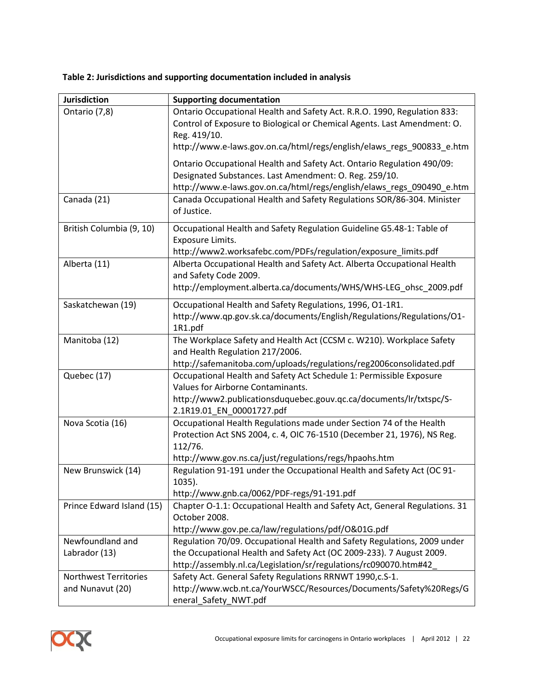| <b>Jurisdiction</b>          | <b>Supporting documentation</b>                                            |
|------------------------------|----------------------------------------------------------------------------|
| Ontario (7,8)                | Ontario Occupational Health and Safety Act. R.R.O. 1990, Regulation 833:   |
|                              | Control of Exposure to Biological or Chemical Agents. Last Amendment: O.   |
|                              | Reg. 419/10.                                                               |
|                              | http://www.e-laws.gov.on.ca/html/regs/english/elaws regs 900833 e.htm      |
|                              | Ontario Occupational Health and Safety Act. Ontario Regulation 490/09:     |
|                              | Designated Substances. Last Amendment: O. Reg. 259/10.                     |
|                              | http://www.e-laws.gov.on.ca/html/regs/english/elaws_regs_090490_e.htm      |
| Canada (21)                  | Canada Occupational Health and Safety Regulations SOR/86-304. Minister     |
|                              | of Justice.                                                                |
| British Columbia (9, 10)     | Occupational Health and Safety Regulation Guideline G5.48-1: Table of      |
|                              | Exposure Limits.                                                           |
|                              | http://www2.worksafebc.com/PDFs/regulation/exposure_limits.pdf             |
| Alberta (11)                 | Alberta Occupational Health and Safety Act. Alberta Occupational Health    |
|                              | and Safety Code 2009.                                                      |
|                              | http://employment.alberta.ca/documents/WHS/WHS-LEG ohsc 2009.pdf           |
| Saskatchewan (19)            | Occupational Health and Safety Regulations, 1996, O1-1R1.                  |
|                              | http://www.qp.gov.sk.ca/documents/English/Regulations/Regulations/O1-      |
|                              | 1R1.pdf                                                                    |
| Manitoba (12)                | The Workplace Safety and Health Act (CCSM c. W210). Workplace Safety       |
|                              | and Health Regulation 217/2006.                                            |
|                              | http://safemanitoba.com/uploads/regulations/reg2006consolidated.pdf        |
| Quebec (17)                  | Occupational Health and Safety Act Schedule 1: Permissible Exposure        |
|                              | Values for Airborne Contaminants.                                          |
|                              | http://www2.publicationsduquebec.gouv.qc.ca/documents/lr/txtspc/S-         |
|                              | 2.1R19.01_EN_00001727.pdf                                                  |
| Nova Scotia (16)             | Occupational Health Regulations made under Section 74 of the Health        |
|                              | Protection Act SNS 2004, c. 4, OIC 76-1510 (December 21, 1976), NS Reg.    |
|                              | 112/76.                                                                    |
|                              | http://www.gov.ns.ca/just/regulations/regs/hpaohs.htm                      |
| New Brunswick (14)           | Regulation 91-191 under the Occupational Health and Safety Act (OC 91-     |
|                              | 1035).                                                                     |
|                              | http://www.gnb.ca/0062/PDF-regs/91-191.pdf                                 |
| Prince Edward Island (15)    | Chapter O-1.1: Occupational Health and Safety Act, General Regulations. 31 |
|                              | October 2008.                                                              |
|                              | http://www.gov.pe.ca/law/regulations/pdf/O&01G.pdf                         |
| Newfoundland and             | Regulation 70/09. Occupational Health and Safety Regulations, 2009 under   |
| Labrador (13)                | the Occupational Health and Safety Act (OC 2009-233). 7 August 2009.       |
|                              | http://assembly.nl.ca/Legislation/sr/regulations/rc090070.htm#42           |
| <b>Northwest Territories</b> | Safety Act. General Safety Regulations RRNWT 1990,c.S-1.                   |
| and Nunavut (20)             | http://www.wcb.nt.ca/YourWSCC/Resources/Documents/Safety%20Regs/G          |
|                              | eneral_Safety_NWT.pdf                                                      |

# **Table 2: Jurisdictions and supporting documentation included in analysis**

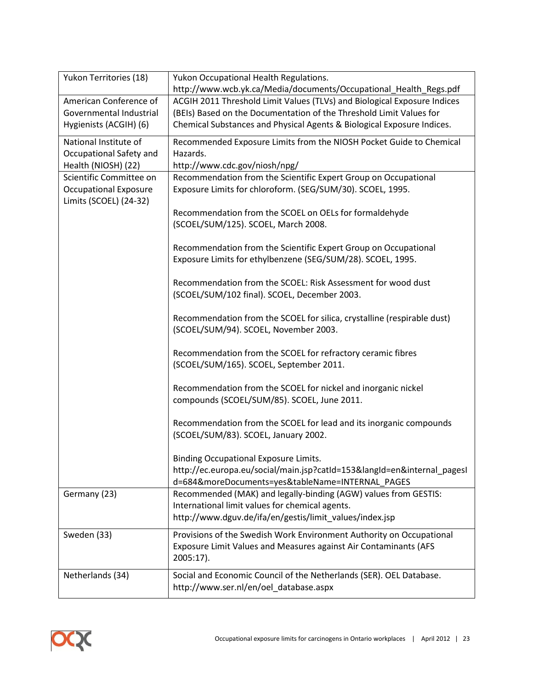| Yukon Territories (18)       | Yukon Occupational Health Regulations.                                   |  |  |  |
|------------------------------|--------------------------------------------------------------------------|--|--|--|
|                              | http://www.wcb.yk.ca/Media/documents/Occupational_Health_Regs.pdf        |  |  |  |
| American Conference of       | ACGIH 2011 Threshold Limit Values (TLVs) and Biological Exposure Indices |  |  |  |
| Governmental Industrial      | (BEIs) Based on the Documentation of the Threshold Limit Values for      |  |  |  |
| Hygienists (ACGIH) (6)       | Chemical Substances and Physical Agents & Biological Exposure Indices.   |  |  |  |
| National Institute of        | Recommended Exposure Limits from the NIOSH Pocket Guide to Chemical      |  |  |  |
| Occupational Safety and      | Hazards.                                                                 |  |  |  |
| Health (NIOSH) (22)          | http://www.cdc.gov/niosh/npg/                                            |  |  |  |
| Scientific Committee on      | Recommendation from the Scientific Expert Group on Occupational          |  |  |  |
| <b>Occupational Exposure</b> | Exposure Limits for chloroform. (SEG/SUM/30). SCOEL, 1995.               |  |  |  |
| Limits (SCOEL) (24-32)       |                                                                          |  |  |  |
|                              | Recommendation from the SCOEL on OELs for formaldehyde                   |  |  |  |
|                              | (SCOEL/SUM/125). SCOEL, March 2008.                                      |  |  |  |
|                              |                                                                          |  |  |  |
|                              | Recommendation from the Scientific Expert Group on Occupational          |  |  |  |
|                              | Exposure Limits for ethylbenzene (SEG/SUM/28). SCOEL, 1995.              |  |  |  |
|                              |                                                                          |  |  |  |
|                              | Recommendation from the SCOEL: Risk Assessment for wood dust             |  |  |  |
|                              | (SCOEL/SUM/102 final). SCOEL, December 2003.                             |  |  |  |
|                              |                                                                          |  |  |  |
|                              | Recommendation from the SCOEL for silica, crystalline (respirable dust)  |  |  |  |
|                              | (SCOEL/SUM/94). SCOEL, November 2003.                                    |  |  |  |
|                              | Recommendation from the SCOEL for refractory ceramic fibres              |  |  |  |
|                              | (SCOEL/SUM/165). SCOEL, September 2011.                                  |  |  |  |
|                              |                                                                          |  |  |  |
|                              | Recommendation from the SCOEL for nickel and inorganic nickel            |  |  |  |
|                              | compounds (SCOEL/SUM/85). SCOEL, June 2011.                              |  |  |  |
|                              |                                                                          |  |  |  |
|                              | Recommendation from the SCOEL for lead and its inorganic compounds       |  |  |  |
|                              | (SCOEL/SUM/83). SCOEL, January 2002.                                     |  |  |  |
|                              |                                                                          |  |  |  |
|                              | <b>Binding Occupational Exposure Limits.</b>                             |  |  |  |
|                              | http://ec.europa.eu/social/main.jsp?catId=153&langId=en&internal_pagesI  |  |  |  |
|                              | d=684&moreDocuments=yes&tableName=INTERNAL PAGES                         |  |  |  |
| Germany (23)                 | Recommended (MAK) and legally-binding (AGW) values from GESTIS:          |  |  |  |
|                              | International limit values for chemical agents.                          |  |  |  |
|                              | http://www.dguv.de/ifa/en/gestis/limit_values/index.jsp                  |  |  |  |
| Sweden (33)                  | Provisions of the Swedish Work Environment Authority on Occupational     |  |  |  |
|                              | Exposure Limit Values and Measures against Air Contaminants (AFS         |  |  |  |
|                              | 2005:17).                                                                |  |  |  |
|                              |                                                                          |  |  |  |
| Netherlands (34)             | Social and Economic Council of the Netherlands (SER). OEL Database.      |  |  |  |
|                              | http://www.ser.nl/en/oel_database.aspx                                   |  |  |  |